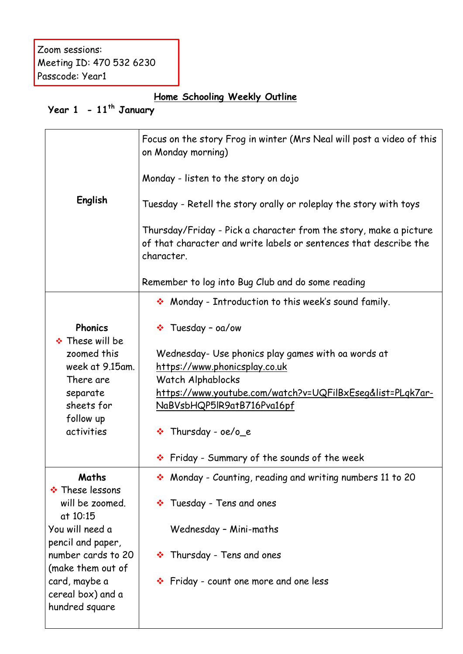Zoom sessions: Meeting ID: 470 532 6230 Passcode: Year1

## **Home Schooling Weekly Outline**

## **Year 1 - 11th January**

|                                                | Focus on the story Frog in winter (Mrs Neal will post a video of this<br>on Monday morning)                                                          |  |  |  |  |  |  |
|------------------------------------------------|------------------------------------------------------------------------------------------------------------------------------------------------------|--|--|--|--|--|--|
|                                                | Monday - listen to the story on dojo                                                                                                                 |  |  |  |  |  |  |
| English                                        | Tuesday - Retell the story orally or roleplay the story with toys                                                                                    |  |  |  |  |  |  |
|                                                | Thursday/Friday - Pick a character from the story, make a picture<br>of that character and write labels or sentences that describe the<br>character. |  |  |  |  |  |  |
|                                                | Remember to log into Bug Club and do some reading                                                                                                    |  |  |  |  |  |  |
|                                                | • Monday - Introduction to this week's sound family.                                                                                                 |  |  |  |  |  |  |
| <b>Phonics</b><br>❖ These will be              | $\cdot \cdot$ Tuesday - oa/ow                                                                                                                        |  |  |  |  |  |  |
| zoomed this                                    | Wednesday- Use phonics play games with oa words at                                                                                                   |  |  |  |  |  |  |
| week at 9.15am.                                | https://www.phonicsplay.co.uk                                                                                                                        |  |  |  |  |  |  |
| There are                                      | Watch Alphablocks                                                                                                                                    |  |  |  |  |  |  |
| separate                                       | https://www.youtube.com/watch?v=UQFilBxEseg&list=PLgk7ar-                                                                                            |  |  |  |  |  |  |
| sheets for                                     | NaBVsbHQP5lR9atB716Pva16pf                                                                                                                           |  |  |  |  |  |  |
| follow up                                      |                                                                                                                                                      |  |  |  |  |  |  |
| activities                                     | $\cdot \cdot$ Thursday - oe/o_e                                                                                                                      |  |  |  |  |  |  |
|                                                | ❖ Friday - Summary of the sounds of the week                                                                                                         |  |  |  |  |  |  |
| Maths                                          | Monday - Counting, reading and writing numbers 11 to 20                                                                                              |  |  |  |  |  |  |
| ❖ These lessons<br>will be zoomed.<br>at 10:15 | * Tuesday - Tens and ones                                                                                                                            |  |  |  |  |  |  |
| You will need a                                | Wednesday - Mini-maths                                                                                                                               |  |  |  |  |  |  |
| pencil and paper,<br>number cards to 20        | * Thursday - Tens and ones                                                                                                                           |  |  |  |  |  |  |
| (make them out of                              |                                                                                                                                                      |  |  |  |  |  |  |
| card, maybe a                                  | ❖ Friday - count one more and one less                                                                                                               |  |  |  |  |  |  |
| cereal box) and a                              |                                                                                                                                                      |  |  |  |  |  |  |
| hundred square                                 |                                                                                                                                                      |  |  |  |  |  |  |
|                                                |                                                                                                                                                      |  |  |  |  |  |  |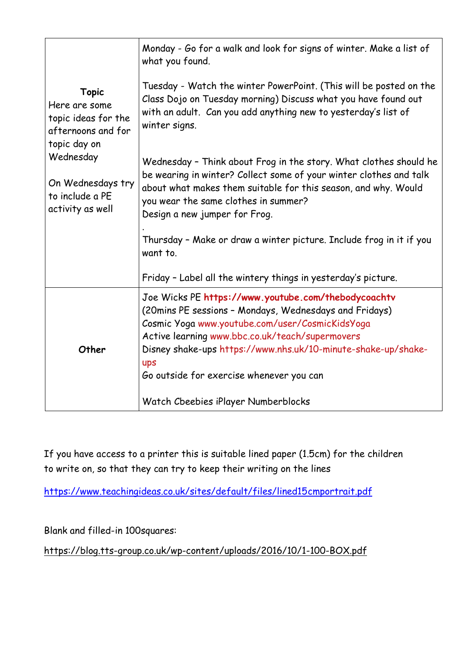|                                                                                            | Monday - Go for a walk and look for signs of winter. Make a list of<br>what you found.                                                                                                                                                                                                                                                  |  |  |  |  |  |
|--------------------------------------------------------------------------------------------|-----------------------------------------------------------------------------------------------------------------------------------------------------------------------------------------------------------------------------------------------------------------------------------------------------------------------------------------|--|--|--|--|--|
| <b>Topic</b><br>Here are some<br>topic ideas for the<br>afternoons and for<br>topic day on | Tuesday - Watch the winter PowerPoint. (This will be posted on the<br>Class Dojo on Tuesday morning) Discuss what you have found out<br>with an adult. Can you add anything new to yesterday's list of<br>winter signs.                                                                                                                 |  |  |  |  |  |
| Wednesday<br>On Wednesdays try<br>to include a PE<br>activity as well                      | Wednesday - Think about Frog in the story. What clothes should he<br>be wearing in winter? Collect some of your winter clothes and talk<br>about what makes them suitable for this season, and why. Would<br>you wear the same clothes in summer?<br>Design a new jumper for Frog.                                                      |  |  |  |  |  |
|                                                                                            | Thursday - Make or draw a winter picture. Include frog in it if you<br>want to.                                                                                                                                                                                                                                                         |  |  |  |  |  |
|                                                                                            | Friday - Label all the wintery things in yesterday's picture.                                                                                                                                                                                                                                                                           |  |  |  |  |  |
| Other                                                                                      | Joe Wicks PE https://www.youtube.com/thebodycoachtv<br>(20mins PE sessions - Mondays, Wednesdays and Fridays)<br>Cosmic Yoga www.youtube.com/user/CosmicKidsYoga<br>Active learning www.bbc.co.uk/teach/supermovers<br>Disney shake-ups https://www.nhs.uk/10-minute-shake-up/shake-<br>ups<br>Go outside for exercise whenever you can |  |  |  |  |  |
|                                                                                            | Watch Cbeebies iPlayer Numberblocks                                                                                                                                                                                                                                                                                                     |  |  |  |  |  |

If you have access to a printer this is suitable lined paper (1.5cm) for the children to write on, so that they can try to keep their writing on the lines

<https://www.teachingideas.co.uk/sites/default/files/lined15cmportrait.pdf>

Blank and filled-in 100squares:

<https://blog.tts-group.co.uk/wp-content/uploads/2016/10/1-100-BOX.pdf>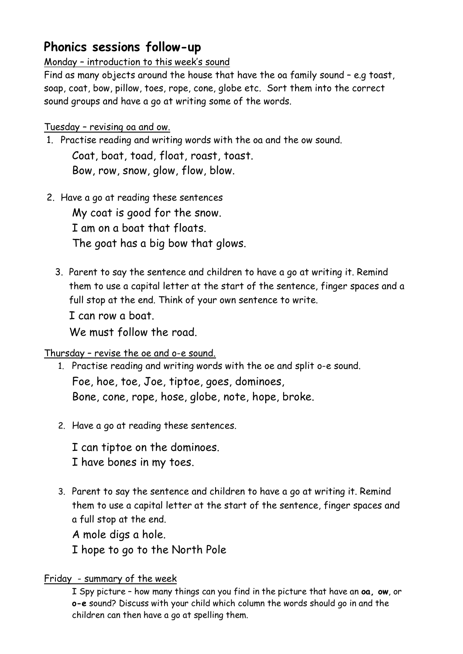## **Phonics sessions follow-up**

Monday – introduction to this week's sound

Find as many objects around the house that have the oa family sound – e.g toast, soap, coat, bow, pillow, toes, rope, cone, globe etc. Sort them into the correct sound groups and have a go at writing some of the words.

### Tuesday – revising oa and ow.

- 1. Practise reading and writing words with the oa and the ow sound. Coat, boat, toad, float, roast, toast. Bow, row, snow, glow, flow, blow.
- 2. Have a go at reading these sentences My coat is good for the snow. I am on a boat that floats. The goat has a big bow that glows.
	- 3. Parent to say the sentence and children to have a go at writing it. Remind them to use a capital letter at the start of the sentence, finger spaces and a full stop at the end. Think of your own sentence to write. I can row a boat.

We must follow the road.

### Thursday – revise the oe and o-e sound.

- 1. Practise reading and writing words with the oe and split o-e sound. Foe, hoe, toe, Joe, tiptoe, goes, dominoes, Bone, cone, rope, hose, globe, note, hope, broke.
- 2. Have a go at reading these sentences.

I can tiptoe on the dominoes. I have bones in my toes.

3. Parent to say the sentence and children to have a go at writing it. Remind them to use a capital letter at the start of the sentence, finger spaces and a full stop at the end.

A mole digs a hole.

I hope to go to the North Pole

### Friday - summary of the week

I Spy picture – how many things can you find in the picture that have an **oa, ow**, or **o-e** sound? Discuss with your child which column the words should go in and the children can then have a go at spelling them.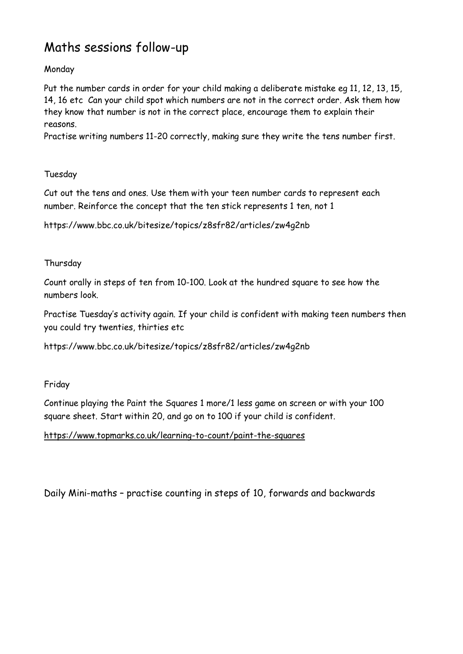# Maths sessions follow-up

### Monday

Put the number cards in order for your child making a deliberate mistake eg 11, 12, 13, 15, 14, 16 etc Can your child spot which numbers are not in the correct order. Ask them how they know that number is not in the correct place, encourage them to explain their reasons.

Practise writing numbers 11-20 correctly, making sure they write the tens number first.

#### Tuesday

Cut out the tens and ones. Use them with your teen number cards to represent each number. Reinforce the concept that the ten stick represents 1 ten, not 1

https://www.bbc.co.uk/bitesize/topics/z8sfr82/articles/zw4g2nb

#### Thursday

Count orally in steps of ten from 10-100. Look at the hundred square to see how the numbers look.

Practise Tuesday's activity again. If your child is confident with making teen numbers then you could try twenties, thirties etc

https://www.bbc.co.uk/bitesize/topics/z8sfr82/articles/zw4g2nb

Friday

Continue playing the Paint the Squares 1 more/1 less game on screen or with your 100 square sheet. Start within 20, and go on to 100 if your child is confident.

#### <https://www.topmarks.co.uk/learning-to-count/paint-the-squares>

Daily Mini-maths – practise counting in steps of 10, forwards and backwards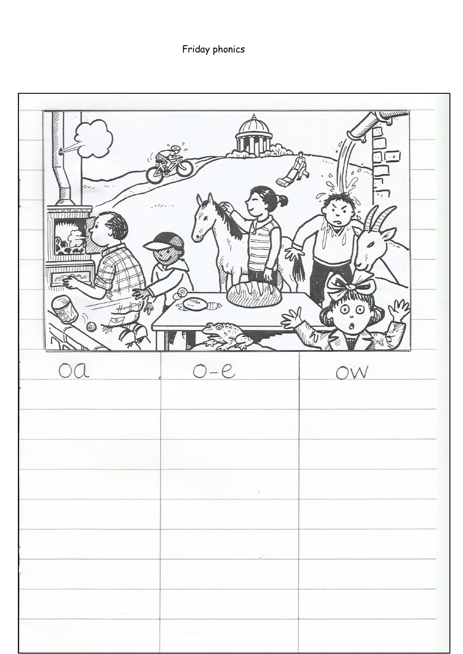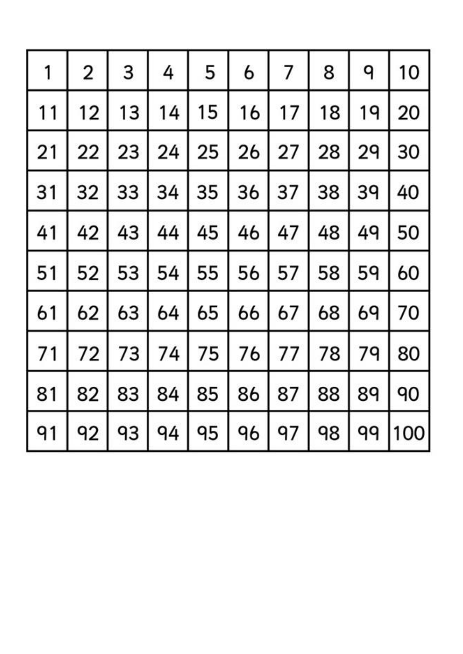| 1  | 2  | 3  | 4  | 5  | 6  | 7  | 8  | ٩  | 10  |
|----|----|----|----|----|----|----|----|----|-----|
| 11 | 12 | 13 | 14 | 15 | 16 | 17 | 18 | 19 | 20  |
| 21 | 22 | 23 | 24 | 25 | 26 | 27 | 28 | 29 | 30  |
| 31 | 32 | 33 | 34 | 35 | 36 | 37 | 38 | 39 | 40  |
| 41 | 42 | 43 | 44 | 45 | 46 | 47 | 48 | 49 | 50  |
| 51 | 52 | 53 | 54 | 55 | 56 | 57 | 58 | 59 | 60  |
| 61 | 62 | 63 | 64 | 65 | 66 | 67 | 68 | 69 | 70  |
| 71 | 72 | 73 | 74 | 75 | 76 | 77 | 78 | 79 | 80  |
| 81 | 82 | 83 | 84 | 85 | 86 | 87 | 88 | 89 | 90  |
| 91 | 92 | 93 | 94 | 95 | 96 | 97 | 98 | 99 | 100 |